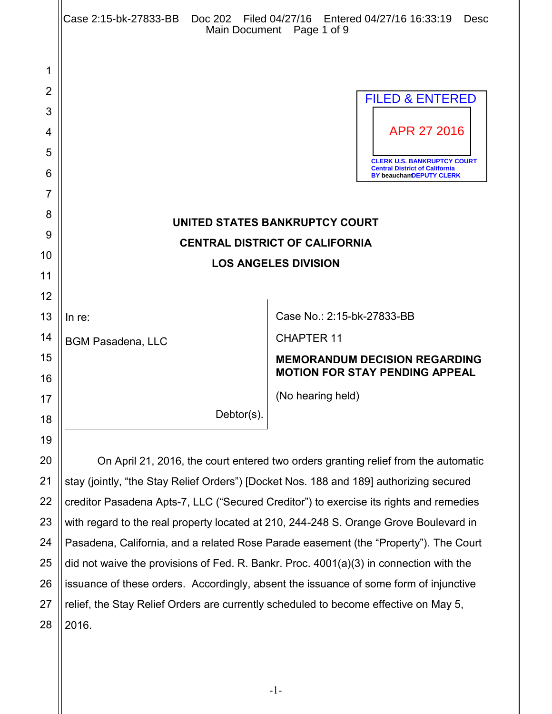|    | Case 2:15-bk-27833-BB  Doc 202  Filed 04/27/16  Entered 04/27/16  16:33:19               | Desc<br>Main Document Page 1 of 9                                                                             |
|----|------------------------------------------------------------------------------------------|---------------------------------------------------------------------------------------------------------------|
| 1  |                                                                                          |                                                                                                               |
| 2  |                                                                                          |                                                                                                               |
| 3  |                                                                                          | <b>FILED &amp; ENTERED</b>                                                                                    |
| 4  |                                                                                          | APR 27 2016                                                                                                   |
| 5  |                                                                                          |                                                                                                               |
| 6  |                                                                                          | <b>CLERK U.S. BANKRUPTCY COURT</b><br><b>Central District of California</b><br><b>BY beauchamDEPUTY CLERK</b> |
| 7  |                                                                                          |                                                                                                               |
| 8  |                                                                                          |                                                                                                               |
| 9  | UNITED STATES BANKRUPTCY COURT<br><b>CENTRAL DISTRICT OF CALIFORNIA</b>                  |                                                                                                               |
| 10 | <b>LOS ANGELES DIVISION</b>                                                              |                                                                                                               |
| 11 |                                                                                          |                                                                                                               |
| 12 |                                                                                          |                                                                                                               |
| 13 | In re:                                                                                   | Case No.: 2:15-bk-27833-BB                                                                                    |
| 14 | <b>BGM Pasadena, LLC</b>                                                                 | <b>CHAPTER 11</b>                                                                                             |
| 15 |                                                                                          | <b>MEMORANDUM DECISION REGARDING</b>                                                                          |
| 16 |                                                                                          | <b>MOTION FOR STAY PENDING APPEAL</b>                                                                         |
| 17 |                                                                                          | (No hearing held)                                                                                             |
| 18 | Debtor(s).                                                                               |                                                                                                               |
| 19 |                                                                                          |                                                                                                               |
| 20 | On April 21, 2016, the court entered two orders granting relief from the automatic       |                                                                                                               |
| 21 | stay (jointly, "the Stay Relief Orders") [Docket Nos. 188 and 189] authorizing secured   |                                                                                                               |
| 22 | creditor Pasadena Apts-7, LLC ("Secured Creditor") to exercise its rights and remedies   |                                                                                                               |
| 23 | with regard to the real property located at 210, 244-248 S. Orange Grove Boulevard in    |                                                                                                               |
| 24 | Pasadena, California, and a related Rose Parade easement (the "Property"). The Court     |                                                                                                               |
| 25 | did not waive the provisions of Fed. R. Bankr. Proc. $4001(a)(3)$ in connection with the |                                                                                                               |
| 26 | issuance of these orders. Accordingly, absent the issuance of some form of injunctive    |                                                                                                               |

27 28 relief, the Stay Relief Orders are currently scheduled to become effective on May 5, 2016.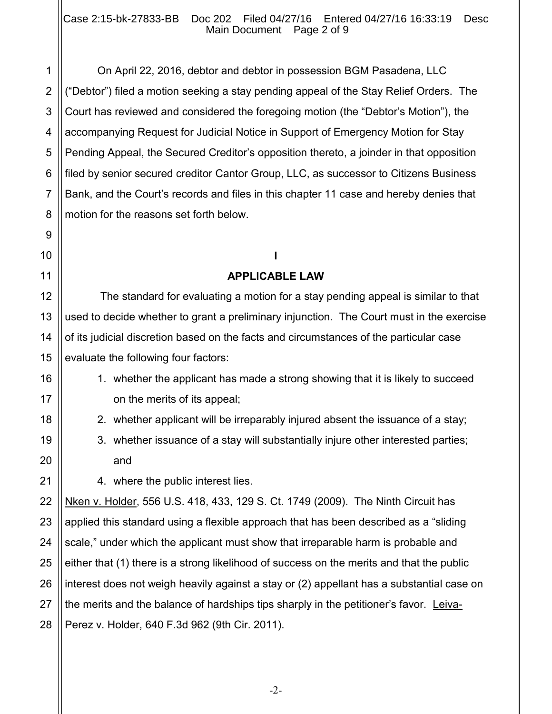On April 22, 2016, debtor and debtor in possession BGM Pasadena, LLC ("Debtor") filed a motion seeking a stay pending appeal of the Stay Relief Orders. The Court has reviewed and considered the foregoing motion (the "Debtor's Motion"), the accompanying Request for Judicial Notice in Support of Emergency Motion for Stay Pending Appeal, the Secured Creditor's opposition thereto, a joinder in that opposition filed by senior secured creditor Cantor Group, LLC, as successor to Citizens Business Bank, and the Court's records and files in this chapter 11 case and hereby denies that motion for the reasons set forth below.

# **I**

## **APPLICABLE LAW**

The standard for evaluating a motion for a stay pending appeal is similar to that used to decide whether to grant a preliminary injunction. The Court must in the exercise of its judicial discretion based on the facts and circumstances of the particular case evaluate the following four factors:

- 1. whether the applicant has made a strong showing that it is likely to succeed on the merits of its appeal;
- 2. whether applicant will be irreparably injured absent the issuance of a stay;
- 3. whether issuance of a stay will substantially injure other interested parties; and

4. where the public interest lies.

Nken v. Holder, 556 U.S. 418, 433, 129 S. Ct. 1749 (2009). The Ninth Circuit has applied this standard using a flexible approach that has been described as a "sliding scale," under which the applicant must show that irreparable harm is probable and either that (1) there is a strong likelihood of success on the merits and that the public interest does not weigh heavily against a stay or (2) appellant has a substantial case on the merits and the balance of hardships tips sharply in the petitioner's favor. Leiva-Perez v. Holder, 640 F.3d 962 (9th Cir. 2011).

-2-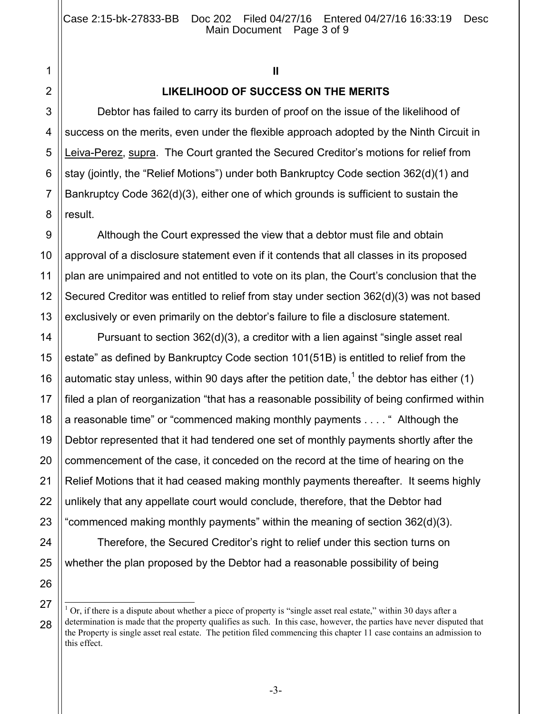## **II**

## **LIKELIHOOD OF SUCCESS ON THE MERITS**

Debtor has failed to carry its burden of proof on the issue of the likelihood of success on the merits, even under the flexible approach adopted by the Ninth Circuit in Leiva-Perez, supra. The Court granted the Secured Creditor's motions for relief from stay (jointly, the "Relief Motions") under both Bankruptcy Code section 362(d)(1) and Bankruptcy Code 362(d)(3), either one of which grounds is sufficient to sustain the result.

Although the Court expressed the view that a debtor must file and obtain approval of a disclosure statement even if it contends that all classes in its proposed plan are unimpaired and not entitled to vote on its plan, the Court's conclusion that the Secured Creditor was entitled to relief from stay under section 362(d)(3) was not based exclusively or even primarily on the debtor's failure to file a disclosure statement.

Pursuant to section 362(d)(3), a creditor with a lien against "single asset real estate" as defined by Bankruptcy Code section 101(51B) is entitled to relief from the automatic stay unless, within 90 days after the petition date,<sup>1</sup> the debtor has either (1) filed a plan of reorganization "that has a reasonable possibility of being confirmed within a reasonable time" or "commenced making monthly payments . . . . " Although the Debtor represented that it had tendered one set of monthly payments shortly after the commencement of the case, it conceded on the record at the time of hearing on the Relief Motions that it had ceased making monthly payments thereafter. It seems highly unlikely that any appellate court would conclude, therefore, that the Debtor had "commenced making monthly payments" within the meaning of section 362(d)(3).

Therefore, the Secured Creditor's right to relief under this section turns on whether the plan proposed by the Debtor had a reasonable possibility of being

 $\overline{1}$  $1$  Or, if there is a dispute about whether a piece of property is "single asset real estate," within 30 days after a determination is made that the property qualifies as such. In this case, however, the parties have never disputed that the Property is single asset real estate. The petition filed commencing this chapter 11 case contains an admission to this effect.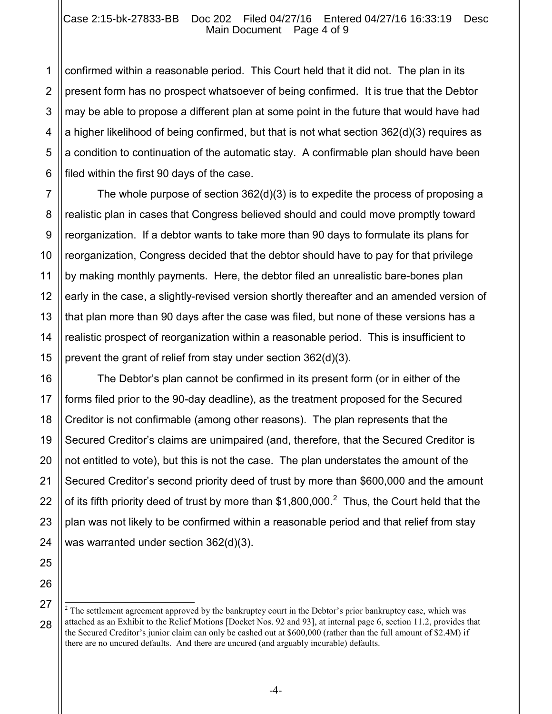#### Case 2:15-bk-27833-BB Doc 202 Filed 04/27/16 Entered 04/27/16 16:33:19 Desc Main Document Page 4 of 9

confirmed within a reasonable period. This Court held that it did not. The plan in its present form has no prospect whatsoever of being confirmed. It is true that the Debtor may be able to propose a different plan at some point in the future that would have had a higher likelihood of being confirmed, but that is not what section 362(d)(3) requires as a condition to continuation of the automatic stay. A confirmable plan should have been filed within the first 90 days of the case.

The whole purpose of section 362(d)(3) is to expedite the process of proposing a realistic plan in cases that Congress believed should and could move promptly toward reorganization. If a debtor wants to take more than 90 days to formulate its plans for reorganization, Congress decided that the debtor should have to pay for that privilege by making monthly payments. Here, the debtor filed an unrealistic bare-bones plan early in the case, a slightly-revised version shortly thereafter and an amended version of that plan more than 90 days after the case was filed, but none of these versions has a realistic prospect of reorganization within a reasonable period. This is insufficient to prevent the grant of relief from stay under section 362(d)(3).

The Debtor's plan cannot be confirmed in its present form (or in either of the forms filed prior to the 90-day deadline), as the treatment proposed for the Secured Creditor is not confirmable (among other reasons). The plan represents that the Secured Creditor's claims are unimpaired (and, therefore, that the Secured Creditor is not entitled to vote), but this is not the case. The plan understates the amount of the Secured Creditor's second priority deed of trust by more than \$600,000 and the amount of its fifth priority deed of trust by more than \$1,800,000.<sup>2</sup> Thus, the Court held that the plan was not likely to be confirmed within a reasonable period and that relief from stay was warranted under section 362(d)(3).

 $\overline{a}$  $2<sup>2</sup>$  The settlement agreement approved by the bankruptcy court in the Debtor's prior bankruptcy case, which was attached as an Exhibit to the Relief Motions [Docket Nos. 92 and 93], at internal page 6, section 11.2, provides that the Secured Creditor's junior claim can only be cashed out at \$600,000 (rather than the full amount of \$2.4M) if there are no uncured defaults. And there are uncured (and arguably incurable) defaults.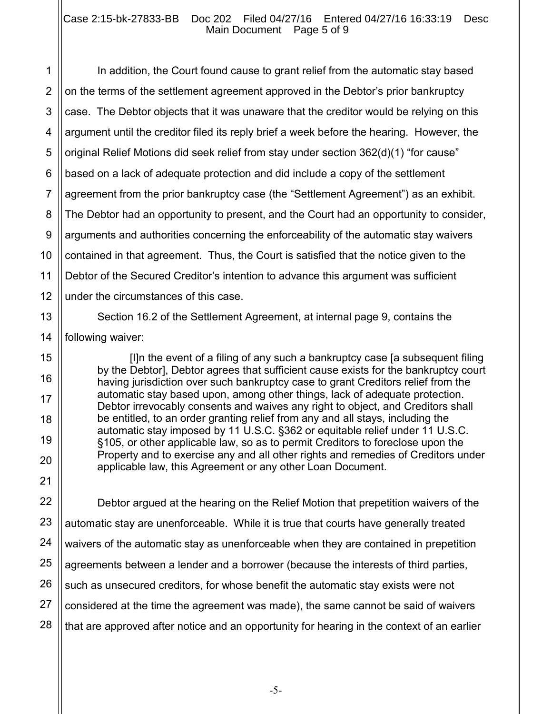#### Case 2:15-bk-27833-BB Doc 202 Filed 04/27/16 Entered 04/27/16 16:33:19 Desc Main Document Page 5 of 9

1 In addition, the Court found cause to grant relief from the automatic stay based on the terms of the settlement agreement approved in the Debtor's prior bankruptcy case. The Debtor objects that it was unaware that the creditor would be relying on this argument until the creditor filed its reply brief a week before the hearing. However, the original Relief Motions did seek relief from stay under section 362(d)(1) "for cause" based on a lack of adequate protection and did include a copy of the settlement agreement from the prior bankruptcy case (the "Settlement Agreement") as an exhibit. The Debtor had an opportunity to present, and the Court had an opportunity to consider, arguments and authorities concerning the enforceability of the automatic stay waivers contained in that agreement. Thus, the Court is satisfied that the notice given to the Debtor of the Secured Creditor's intention to advance this argument was sufficient under the circumstances of this case.

Section 16.2 of the Settlement Agreement, at internal page 9, contains the following waiver:

[I]n the event of a filing of any such a bankruptcy case [a subsequent filing by the Debtor], Debtor agrees that sufficient cause exists for the bankruptcy court having jurisdiction over such bankruptcy case to grant Creditors relief from the automatic stay based upon, among other things, lack of adequate protection. Debtor irrevocably consents and waives any right to object, and Creditors shall be entitled, to an order granting relief from any and all stays, including the automatic stay imposed by 11 U.S.C. §362 or equitable relief under 11 U.S.C. §105, or other applicable law, so as to permit Creditors to foreclose upon the Property and to exercise any and all other rights and remedies of Creditors under applicable law, this Agreement or any other Loan Document.

Debtor argued at the hearing on the Relief Motion that prepetition waivers of the automatic stay are unenforceable. While it is true that courts have generally treated waivers of the automatic stay as unenforceable when they are contained in prepetition agreements between a lender and a borrower (because the interests of third parties, such as unsecured creditors, for whose benefit the automatic stay exists were not considered at the time the agreement was made), the same cannot be said of waivers that are approved after notice and an opportunity for hearing in the context of an earlier

-5-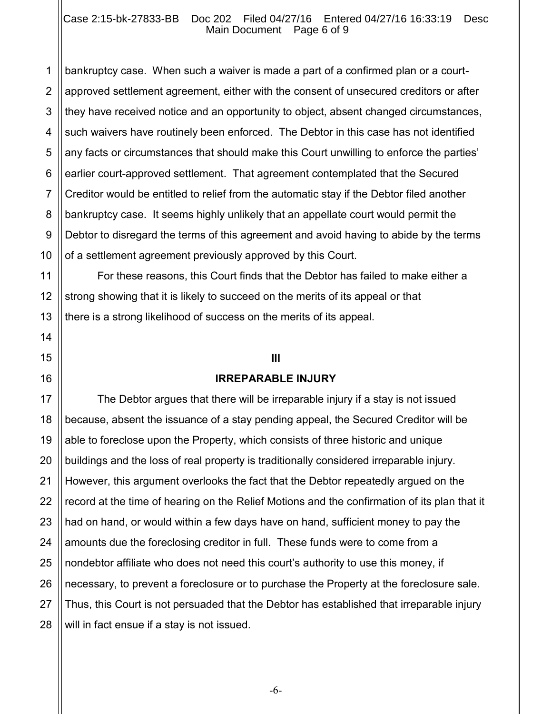#### Case 2:15-bk-27833-BB Doc 202 Filed 04/27/16 Entered 04/27/16 16:33:19 Desc Main Document Page 6 of 9

1 bankruptcy case. When such a waiver is made a part of a confirmed plan or a courtapproved settlement agreement, either with the consent of unsecured creditors or after they have received notice and an opportunity to object, absent changed circumstances, such waivers have routinely been enforced. The Debtor in this case has not identified any facts or circumstances that should make this Court unwilling to enforce the parties' earlier court-approved settlement. That agreement contemplated that the Secured Creditor would be entitled to relief from the automatic stay if the Debtor filed another bankruptcy case. It seems highly unlikely that an appellate court would permit the Debtor to disregard the terms of this agreement and avoid having to abide by the terms of a settlement agreement previously approved by this Court.

For these reasons, this Court finds that the Debtor has failed to make either a strong showing that it is likely to succeed on the merits of its appeal or that there is a strong likelihood of success on the merits of its appeal.

#### **III**

#### **IRREPARABLE INJURY**

The Debtor argues that there will be irreparable injury if a stay is not issued because, absent the issuance of a stay pending appeal, the Secured Creditor will be able to foreclose upon the Property, which consists of three historic and unique buildings and the loss of real property is traditionally considered irreparable injury. However, this argument overlooks the fact that the Debtor repeatedly argued on the record at the time of hearing on the Relief Motions and the confirmation of its plan that it had on hand, or would within a few days have on hand, sufficient money to pay the amounts due the foreclosing creditor in full. These funds were to come from a nondebtor affiliate who does not need this court's authority to use this money, if necessary, to prevent a foreclosure or to purchase the Property at the foreclosure sale. Thus, this Court is not persuaded that the Debtor has established that irreparable injury will in fact ensue if a stay is not issued.

-6-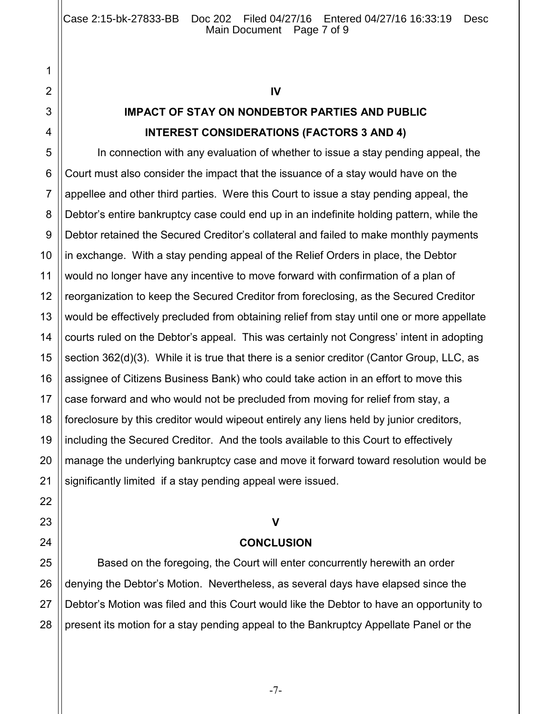#### **IV**

## **IMPACT OF STAY ON NONDEBTOR PARTIES AND PUBLIC INTEREST CONSIDERATIONS (FACTORS 3 AND 4)**

In connection with any evaluation of whether to issue a stay pending appeal, the Court must also consider the impact that the issuance of a stay would have on the appellee and other third parties. Were this Court to issue a stay pending appeal, the Debtor's entire bankruptcy case could end up in an indefinite holding pattern, while the Debtor retained the Secured Creditor's collateral and failed to make monthly payments in exchange. With a stay pending appeal of the Relief Orders in place, the Debtor would no longer have any incentive to move forward with confirmation of a plan of reorganization to keep the Secured Creditor from foreclosing, as the Secured Creditor would be effectively precluded from obtaining relief from stay until one or more appellate courts ruled on the Debtor's appeal. This was certainly not Congress' intent in adopting section 362(d)(3). While it is true that there is a senior creditor (Cantor Group, LLC, as assignee of Citizens Business Bank) who could take action in an effort to move this case forward and who would not be precluded from moving for relief from stay, a foreclosure by this creditor would wipeout entirely any liens held by junior creditors, including the Secured Creditor. And the tools available to this Court to effectively manage the underlying bankruptcy case and move it forward toward resolution would be significantly limited if a stay pending appeal were issued.

## **V**

## **CONCLUSION**

Based on the foregoing, the Court will enter concurrently herewith an order denying the Debtor's Motion. Nevertheless, as several days have elapsed since the Debtor's Motion was filed and this Court would like the Debtor to have an opportunity to present its motion for a stay pending appeal to the Bankruptcy Appellate Panel or the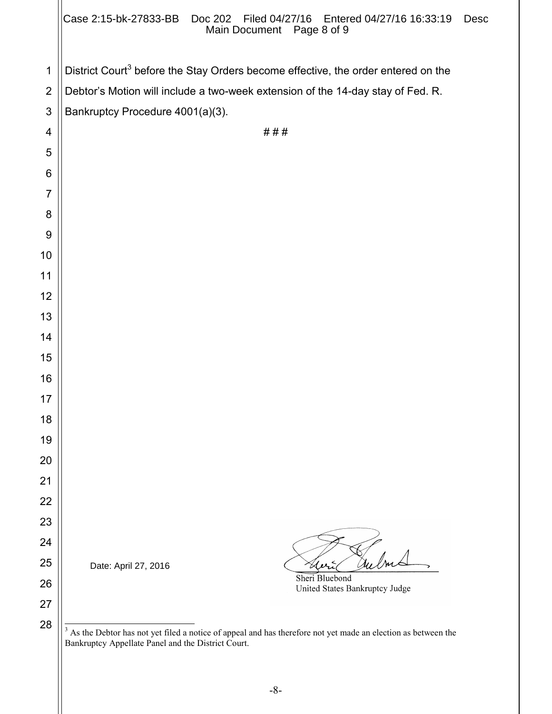|                | Case 2:15-bk-27833-BB  Doc 202  Filed 04/27/16  Entered 04/27/16  16:33:19<br><b>Desc</b><br>Main Document Page 8 of 9                                                  |  |  |
|----------------|-------------------------------------------------------------------------------------------------------------------------------------------------------------------------|--|--|
| $\mathbf 1$    | District Court <sup>3</sup> before the Stay Orders become effective, the order entered on the                                                                           |  |  |
| $\overline{2}$ | Debtor's Motion will include a two-week extension of the 14-day stay of Fed. R.                                                                                         |  |  |
| 3              | Bankruptcy Procedure 4001(a)(3).                                                                                                                                        |  |  |
| 4              | ###                                                                                                                                                                     |  |  |
| 5              |                                                                                                                                                                         |  |  |
| 6              |                                                                                                                                                                         |  |  |
| $\overline{7}$ |                                                                                                                                                                         |  |  |
| 8              |                                                                                                                                                                         |  |  |
| 9              |                                                                                                                                                                         |  |  |
| 10             |                                                                                                                                                                         |  |  |
| 11             |                                                                                                                                                                         |  |  |
| 12             |                                                                                                                                                                         |  |  |
| 13             |                                                                                                                                                                         |  |  |
| 14             |                                                                                                                                                                         |  |  |
| 15             |                                                                                                                                                                         |  |  |
| 16<br>17       |                                                                                                                                                                         |  |  |
| 18             |                                                                                                                                                                         |  |  |
| 19             |                                                                                                                                                                         |  |  |
| 20             |                                                                                                                                                                         |  |  |
| 21             |                                                                                                                                                                         |  |  |
| 22             |                                                                                                                                                                         |  |  |
| 23             |                                                                                                                                                                         |  |  |
| 24             |                                                                                                                                                                         |  |  |
| 25             | Date: April 27, 2016                                                                                                                                                    |  |  |
| 26             | Sheri Bluebond<br>United States Bankruptcy Judge                                                                                                                        |  |  |
| 27             |                                                                                                                                                                         |  |  |
| 28             | 3<br>As the Debtor has not yet filed a notice of appeal and has therefore not yet made an election as between the<br>Bankruptcy Appellate Panel and the District Court. |  |  |

-8-